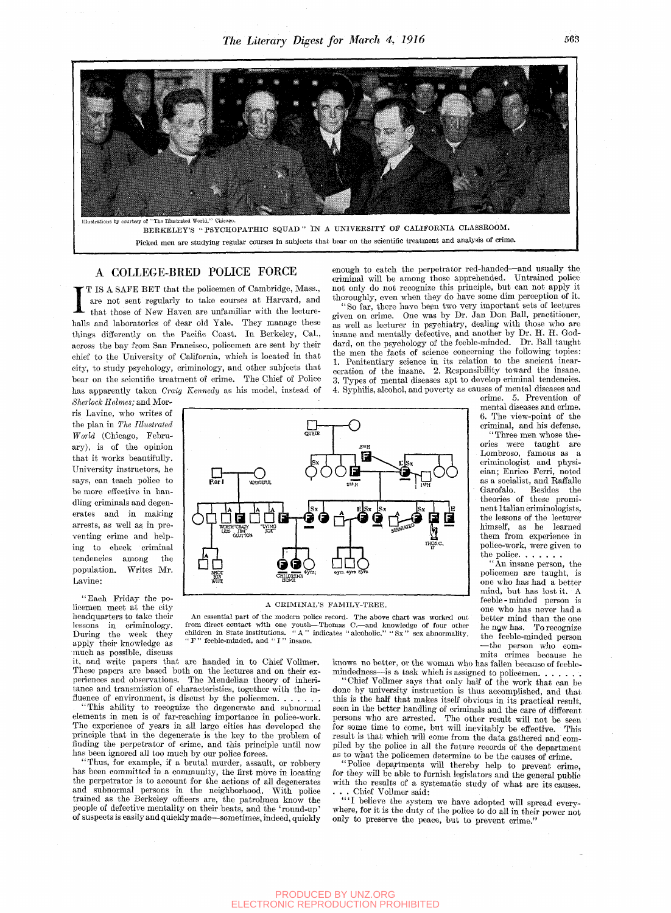

## A COLLEGE-BRED POLICE FORCE

I T IS A SAFE BET that the policemen of Cambridge, Mass., are not sent regularly to take courses at Harvard, and that those of New Haven are unfamiliar with the lecture-<br>halls and laboratories of dear old Yale. They manage T IS A SAFE BET that the policemen of Cambridge, Mass., are not sent regularly to take courses at Harvard, and that those of New Haven are unfamiliar with the lecturethings differently on the Pacific Coast. In Berkeley, Cal., across the bay from San Francisco, policemen are sent by their chief to the University of California, which is located in that city, to study psychology, criminology, and other subjects that bear on the scientific treatment of crime. The Chief of Police has apparently taken *Craig Kennedy* as his model, instead of

*Sherlock Holmes;* and Morris Lavine, who writes of the plan in *The Illustrated World* (Chicago, February), is of the opinion that it works beautifully. University instructors, he says, can teach police to be more effective in handling criminals and degenerates and in making arrests, as well as in preventing crime and helping to check criminal tendencies among the population. Writes Mr. Lavine:

"Each Friday the policemen meet at the city headquarters to take their lessons in criminology. During the week they apply their knowledge as much as possible, discuss

it, and write papers that are handed in to Chief VoUmer. These papers are based both on the lectures and on their experiences and observations. The Mendelian theory of inheritance and transmission of characteristics, together with the in-<br>fluence of environment, is discust by the policemen.  $\dots$ .

HIS WIFE

elements in men is of far-reaching importance in police-work. The experience of years in all large cities has developed the principle that in the degenerate is the key to the problem of finding the perpetrator of crime, and this principle until now has been ignored all too much by our police forces.

Thus, for example, if a brutal murder, assault, or robbery has been committed in a community, the first move in locating the perpetrator is to account for the actions of all degenerates and subnormal persons in the neighborhood. With police trained as the Berkeley offlcers are, the patrolmen know the people of defective mentahty on their beats, and the 'round-up' of suspects is easily and quickly made—sometimes, indeed, quickly enough to catch the perpetrator red-handed—and usually the criminal will be among those apprehended. Untrained police not only do not recognize this principle, but can not apply it thoroughly, even when they do have some dim perception of it.

"So far, there have bepn two very important sets of lectures given on crime. One was by Dr. Jan Don Ball, practitioner, as well as lecturer in psychiatry, dealing with those who are insane and mentally defective, and another by Dr. H. H. Goddard, on the psychology of the feeble-minded. Dr. Ball taught the men the facts of science concerning the following topics: 1. Penitentiary science in its relation to the ancient incarceration of the insane. 2. Responsibility toward the insane. 3. Types of mental diseases apt to develop criminal tendencies. 4. Syphilis, alcohol, and poverty as causes of mental diseases and

crime. 5. Prevention of mental diseases and crime. 6. The view-point of the criminal, and his defense.

"Three men whose theories were taught are Lombroso, famous as a criminologist and physician; Enrico Perri, noted as a socialist, and RaffaUe Garofalo. Besides the theories of these prominent Italian criminologists, the lessons of the lecturer himself, as he learned them from experience in police-work, were given to the police. . . . . .

"An insane person, the policemen are taught, is one who has had a better mind, but has lost it. A feeble-minded person is one who has never had a better mind than the one he ngw has. To recognize the feeble-minded person —the person who commits crimes because he

knows no better, or the woman who has fallen because of feeblemindedness—is a task which is assigned to policemen.  $\ldots$ .

ence of environment, is discust by the policemen.  $\dots$ , this is the half that makes itself obvious in its practical result,<br>'This ability to recognize the degenerate and subnormal seen in the better handling of griminals This ability to recognize the degenerate and subnormal seen in the better handling of criminals and the care of different "Chief Vollmer says that only half of the work that can be done by university instruction is thus accomplished, and that persons who are arrested. The other result wiU not be seen for some time to come, but will inevitably be effective. This result is that which will come from the data gathered and compiled by the police in all the future records of the department as to what the policemen determine to be the causes of crime.

"Police departments will thereby help to prevent crime, for they will be able to furnish legislators and the general public with the results of a systematic study of what are its causes.<br>. . . Chief Vollmer said: . . . Chief VoUmer said:

" ' I beheve the system we have adopted will spread everywhere, for it is the duty of the police to do all in their power not only to preserve the peace, but to prevent crime."

QUEER **-** O **D**std<sub>H</sub>  $E_x$   $\uparrow$   $\uparrow$   $\uparrow$   $\downarrow$   $\downarrow$   $\downarrow$   $\downarrow$   $\downarrow$   $\downarrow$   $\downarrow$   $\downarrow$   $\downarrow$   $\downarrow$   $\downarrow$   $\downarrow$   $\downarrow$   $\downarrow$   $\downarrow$   $\downarrow$   $\downarrow$   $\downarrow$   $\downarrow$   $\downarrow$   $\downarrow$   $\downarrow$   $\downarrow$   $\downarrow$   $\downarrow$   $\downarrow$   $\downarrow$   $\downarrow$   $\downarrow$   $\downarrow$   $\downarrow$   $\downarrow$   $\downarrow$  **-O**<br>wasteful **, ^**  *n-*2™ H I'-'H 66 **1966 1967 1968 1968 1968 1968 1968 1968** LESS . JIM" OIUITON  $\frac{1}{2}$   $\frac{1}{2}$   $\frac{1}{2}$   $\frac{1}{2}$   $\frac{1}{2}$   $\frac{1}{2}$   $\frac{1}{2}$   $\frac{1}{2}$   $\frac{1}{2}$   $\frac{1}{2}$   $\frac{1}{2}$   $\frac{1}{2}$   $\frac{1}{2}$   $\frac{1}{2}$   $\frac{1}{2}$   $\frac{1}{2}$   $\frac{1}{2}$   $\frac{1}{2}$   $\frac{1}{2}$   $\frac{1}{2}$   $\frac{1}{2}$   $\frac{1}{2}$   $\overrightarrow{\mathbf{99}}\overrightarrow{\mathbf{9}}$   $\overrightarrow{\mathbf{1}}$   $\overrightarrow{\mathbf{1}}\overrightarrow{\mathbf{1}}\overrightarrow{\mathbf{1}}$ oyrs. 4yr9. syrs sHor

## A CRIMINAL'S FAMILY-TREE. An essential part of the modern police record. The above chart was worked out

from direct contact with one youth—Thomas C.—and knowledge of four other children in State institutions. "A " indicates "alcoholic," "Sx " sex abnormality, "F " feeble-minded, and "I " insane.

PRODUCED BY UNZ.ORG ELECTRONIC REPRODUCTION PROHIBITED